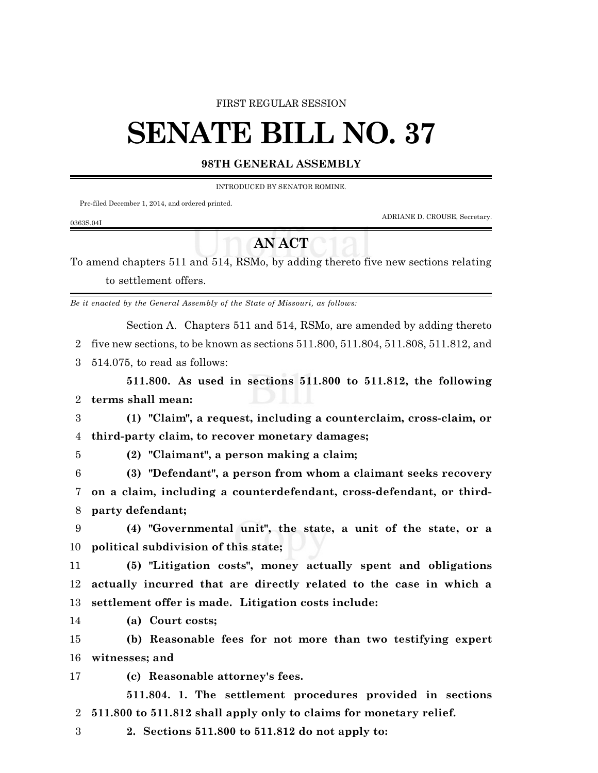#### FIRST REGULAR SESSION

# **SENATE BILL NO. 37**

### **98TH GENERAL ASSEMBLY**

INTRODUCED BY SENATOR ROMINE.

Pre-filed December 1, 2014, and ordered printed.

ADRIANE D. CROUSE, Secretary.

#### 0363S.04I

## **AN ACT**

To amend chapters 511 and 514, RSMo, by adding thereto five new sections relating to settlement offers.

*Be it enacted by the General Assembly of the State of Missouri, as follows:*

Section A. Chapters 511 and 514, RSMo, are amended by adding thereto

2 five new sections, to be known as sections 511.800, 511.804, 511.808, 511.812, and

3 514.075, to read as follows:

**511.800. As used in sections 511.800 to 511.812, the following** 2 **terms shall mean:**

3 **(1) "Claim", a request, including a counterclaim, cross-claim, or** 4 **third-party claim, to recover monetary damages;**

5 **(2) "Claimant", a person making a claim;**

6 **(3) "Defendant", a person from whom a claimant seeks recovery** 7 **on a claim, including a counterdefendant, cross-defendant, or third-**8 **party defendant;**

9 **(4) "Governmental unit", the state, a unit of the state, or a** 10 **political subdivision of this state;**

11 **(5) "Litigation costs", money actually spent and obligations** 12 **actually incurred that are directly related to the case in which a** 13 **settlement offer is made. Litigation costs include:**

14 **(a) Court costs;**

15 **(b) Reasonable fees for not more than two testifying expert** 16 **witnesses; and**

17 **(c) Reasonable attorney's fees.**

**511.804. 1. The settlement procedures provided in sections** 2 **511.800 to 511.812 shall apply only to claims for monetary relief.**

3 **2. Sections 511.800 to 511.812 do not apply to:**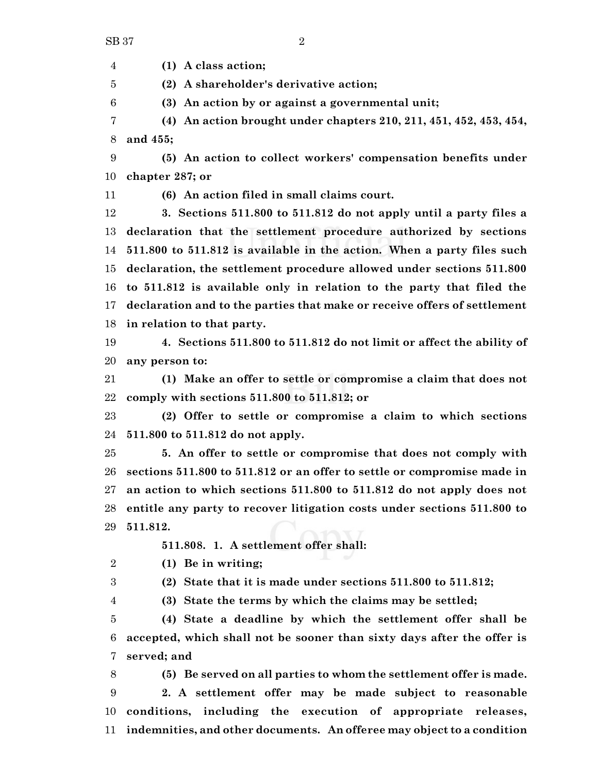**(1) A class action;**

**(2) A shareholder's derivative action;**

**(3) An action by or against a governmental unit;**

 **(4) An action brought under chapters 210, 211, 451, 452, 453, 454, and 455;**

 **(5) An action to collect workers' compensation benefits under chapter 287; or**

**(6) An action filed in small claims court.**

 **3. Sections 511.800 to 511.812 do not apply until a party files a declaration that the settlement procedure authorized by sections 511.800 to 511.812 is available in the action. When a party files such declaration, the settlement procedure allowed under sections 511.800 to 511.812 is available only in relation to the party that filed the declaration and to the parties that make or receive offers of settlement in relation to that party.**

 **4. Sections 511.800 to 511.812 do not limit or affect the ability of any person to:**

 **(1) Make an offer to settle or compromise a claim that does not comply with sections 511.800 to 511.812; or**

 **(2) Offer to settle or compromise a claim to which sections 511.800 to 511.812 do not apply.**

 **5. An offer to settle or compromise that does not comply with sections 511.800 to 511.812 or an offer to settle or compromise made in an action to which sections 511.800 to 511.812 do not apply does not entitle any party to recover litigation costs under sections 511.800 to 511.812.**

**511.808. 1. A settlement offer shall:**

**(1) Be in writing;**

**(2) State that it is made under sections 511.800 to 511.812;**

**(3) State the terms by which the claims may be settled;**

 **(4) State a deadline by which the settlement offer shall be accepted, which shall not be sooner than sixty days after the offer is served; and**

 **(5) Be served on all parties to whom the settlement offer is made. 2. A settlement offer may be made subject to reasonable conditions, including the execution of appropriate releases, indemnities, and other documents. An offeree may object to a condition**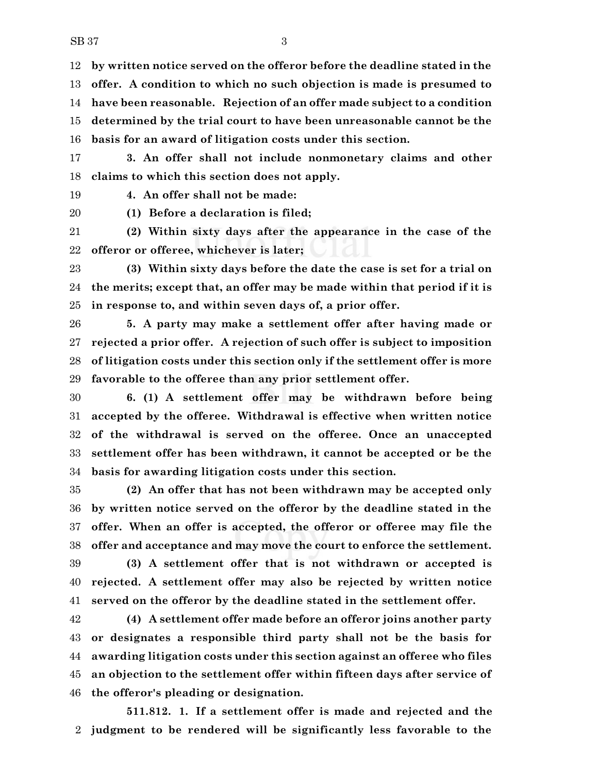**by written notice served on the offeror before the deadline stated in the offer. A condition to which no such objection is made is presumed to have been reasonable. Rejection of an offer made subject to a condition determined by the trial court to have been unreasonable cannot be the basis for an award of litigation costs under this section.**

 **3. An offer shall not include nonmonetary claims and other claims to which this section does not apply.**

**4. An offer shall not be made:**

**(1) Before a declaration is filed;**

 **(2) Within sixty days after the appearance in the case of the offeror or offeree, whichever is later;**

 **(3) Within sixty days before the date the case is set for a trial on the merits; except that, an offer may be made within that period if it is in response to, and within seven days of, a prior offer.**

 **5. A party may make a settlement offer after having made or rejected a prior offer. A rejection of such offer is subject to imposition of litigation costs under this section only if the settlement offer is more favorable to the offeree than any prior settlement offer.**

 **6. (1) A settlement offer may be withdrawn before being accepted by the offeree. Withdrawal is effective when written notice of the withdrawal is served on the offeree. Once an unaccepted settlement offer has been withdrawn, it cannot be accepted or be the basis for awarding litigation costs under this section.**

 **(2) An offer that has not been withdrawn may be accepted only by written notice served on the offeror by the deadline stated in the offer. When an offer is accepted, the offeror or offeree may file the offer and acceptance and may move the court to enforce the settlement. (3) A settlement offer that is not withdrawn or accepted is rejected. A settlement offer may also be rejected by written notice served on the offeror by the deadline stated in the settlement offer.**

 **(4) A settlement offer made before an offeror joins another party or designates a responsible third party shall not be the basis for awarding litigation costs under this section against an offeree who files an objection to the settlement offer within fifteen days after service of the offeror's pleading or designation.**

**511.812. 1. If a settlement offer is made and rejected and the judgment to be rendered will be significantly less favorable to the**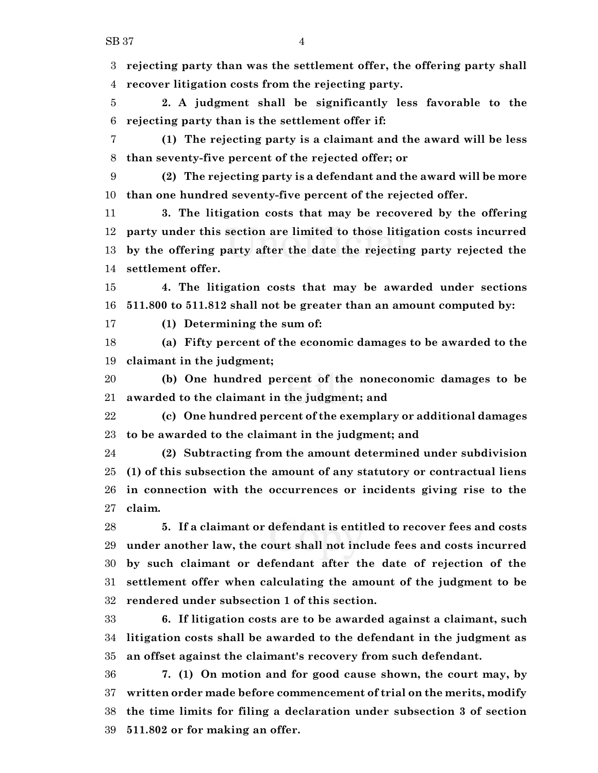**rejecting party than was the settlement offer, the offering party shall recover litigation costs from the rejecting party.**

 **2. A judgment shall be significantly less favorable to the rejecting party than is the settlement offer if:**

 **(1) The rejecting party is a claimant and the award will be less than seventy-five percent of the rejected offer; or**

 **(2) The rejecting party is a defendant and the award will be more than one hundred seventy-five percent of the rejected offer.**

 **3. The litigation costs that may be recovered by the offering party under this section are limited to those litigation costs incurred by the offering party after the date the rejecting party rejected the settlement offer.**

 **4. The litigation costs that may be awarded under sections 511.800 to 511.812 shall not be greater than an amount computed by:**

**(1) Determining the sum of:**

 **(a) Fifty percent of the economic damages to be awarded to the claimant in the judgment;**

 **(b) One hundred percent of the noneconomic damages to be awarded to the claimant in the judgment; and**

 **(c) One hundred percent of the exemplary or additional damages to be awarded to the claimant in the judgment; and**

 **(2) Subtracting from the amount determined under subdivision (1) of this subsection the amount of any statutory or contractual liens in connection with the occurrences or incidents giving rise to the claim.**

 **5. If a claimant or defendant is entitled to recover fees and costs under another law, the court shall not include fees and costs incurred by such claimant or defendant after the date of rejection of the settlement offer when calculating the amount of the judgment to be rendered under subsection 1 of this section.**

 **6. If litigation costs are to be awarded against a claimant, such litigation costs shall be awarded to the defendant in the judgment as an offset against the claimant's recovery from such defendant.**

 **7. (1) On motion and for good cause shown, the court may, by written order made before commencement of trial on the merits, modify the time limits for filing a declaration under subsection 3 of section 511.802 or for making an offer.**